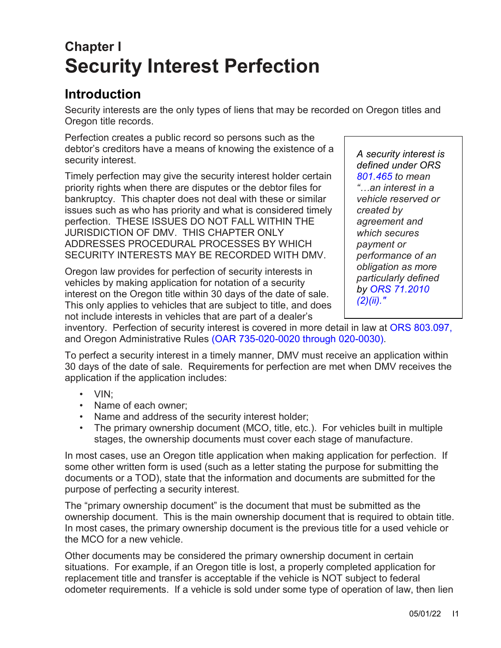# **Chapter I Security Interest Perfection**

### **Introduction**

Security interests are the only types of liens that may be recorded on Oregon titles and Oregon title records.

Perfection creates a public record so persons such as the debtor's creditors have a means of knowing the existence of a security interest.

Timely perfection may give the security interest holder certain priority rights when there are disputes or the debtor files for bankruptcy. This chapter does not deal with these or similar issues such as who has priority and what is considered timely perfection. THESE ISSUES DO NOT FALL WITHIN THE JURISDICTION OF DMV. THIS CHAPTER ONLY ADDRESSES PROCEDURAL PROCESSES BY WHICH SECURITY INTERESTS MAY BE RECORDED WITH DMV.

Oregon law provides for perfection of security interests in vehicles by making application for notation of a security interest on the Oregon title within 30 days of the date of sale. This only applies to vehicles that are subject to title, and does not include interests in vehicles that are part of a dealer's

*A security interest is defined under ORS [801.465](https://www.oregon.gov/ODOT/DMV/docs/vcb/VCB801.pdf) to mean "…an interest in a vehicle reserved or created by agreement and which secures payment or performance of an obligation as more particularly defined by [ORS 71.2010](https://www.oregonlegislature.gov/bills_laws/ors/ors071.html)  [\(2\)\(](https://www.oregonlegislature.gov/bills_laws/ors/ors071.html)ii)."*

inventory. Perfection of security interest is covered in more detail in law at [ORS 803.097,](https://www.oregon.gov/ODOT/DMV/docs/vcb/VCB803.pdf) and Oregon Administrative Rules [\(OAR 735-020-0020 through 020-0030\).](https://secure.sos.state.or.us/oard/displayDivisionRules.action?selectedDivision=3347)

To perfect a security interest in a timely manner, DMV must receive an application within 30 days of the date of sale. Requirements for perfection are met when DMV receives the application if the application includes:

- VIN;
- Name of each owner;
- Name and address of the security interest holder;
- The primary ownership document (MCO, title, etc.). For vehicles built in multiple stages, the ownership documents must cover each stage of manufacture.

In most cases, use an Oregon title application when making application for perfection. If some other written form is used (such as a letter stating the purpose for submitting the documents or a TOD), state that the information and documents are submitted for the purpose of perfecting a security interest.

The "primary ownership document" is the document that must be submitted as the ownership document. This is the main ownership document that is required to obtain title. In most cases, the primary ownership document is the previous title for a used vehicle or the MCO for a new vehicle.

Other documents may be considered the primary ownership document in certain situations. For example, if an Oregon title is lost, a properly completed application for replacement title and transfer is acceptable if the vehicle is NOT subject to federal odometer requirements. If a vehicle is sold under some type of operation of law, then lien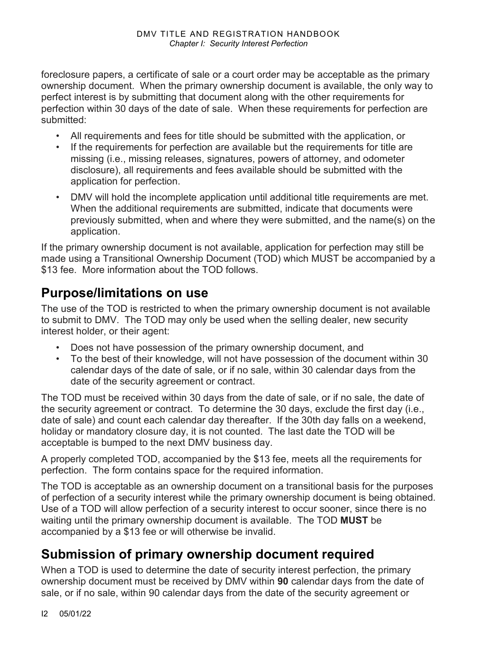foreclosure papers, a certificate of sale or a court order may be acceptable as the primary ownership document. When the primary ownership document is available, the only way to perfect interest is by submitting that document along with the other requirements for perfection within 30 days of the date of sale. When these requirements for perfection are submitted:

- All requirements and fees for title should be submitted with the application, or
- If the requirements for perfection are available but the requirements for title are missing (i.e., missing releases, signatures, powers of attorney, and odometer disclosure), all requirements and fees available should be submitted with the application for perfection.
- DMV will hold the incomplete application until additional title requirements are met. When the additional requirements are submitted, indicate that documents were previously submitted, when and where they were submitted, and the name(s) on the application.

If the primary ownership document is not available, application for perfection may still be made using a Transitional Ownership Document (TOD) which MUST be accompanied by a \$13 fee. More information about the TOD follows.

### **Purpose/limitations on use**

The use of the TOD is restricted to when the primary ownership document is not available to submit to DMV. The TOD may only be used when the selling dealer, new security interest holder, or their agent:

- Does not have possession of the primary ownership document, and
- To the best of their knowledge, will not have possession of the document within 30 calendar days of the date of sale, or if no sale, within 30 calendar days from the date of the security agreement or contract.

The TOD must be received within 30 days from the date of sale, or if no sale, the date of the security agreement or contract. To determine the 30 days, exclude the first day (i.e., date of sale) and count each calendar day thereafter. If the 30th day falls on a weekend, holiday or mandatory closure day, it is not counted. The last date the TOD will be acceptable is bumped to the next DMV business day.

A properly completed TOD, accompanied by the \$13 fee, meets all the requirements for perfection. The form contains space for the required information.

The TOD is acceptable as an ownership document on a transitional basis for the purposes of perfection of a security interest while the primary ownership document is being obtained. Use of a TOD will allow perfection of a security interest to occur sooner, since there is no waiting until the primary ownership document is available. The TOD **MUST** be accompanied by a \$13 fee or will otherwise be invalid.

# **Submission of primary ownership document required**

When a TOD is used to determine the date of security interest perfection, the primary ownership document must be received by DMV within **90** calendar days from the date of sale, or if no sale, within 90 calendar days from the date of the security agreement or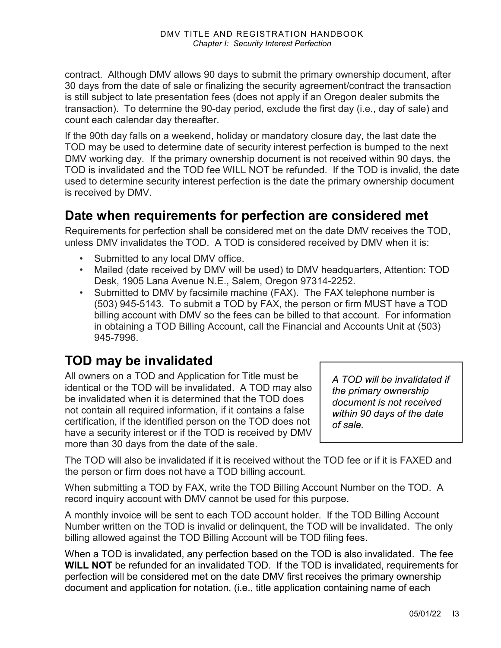contract. Although DMV allows 90 days to submit the primary ownership document, after 30 days from the date of sale or finalizing the security agreement/contract the transaction is still subject to late presentation fees (does not apply if an Oregon dealer submits the transaction). To determine the 90-day period, exclude the first day (i.e., day of sale) and count each calendar day thereafter.

If the 90th day falls on a weekend, holiday or mandatory closure day, the last date the TOD may be used to determine date of security interest perfection is bumped to the next DMV working day. If the primary ownership document is not received within 90 days, the TOD is invalidated and the TOD fee WILL NOT be refunded. If the TOD is invalid, the date used to determine security interest perfection is the date the primary ownership document is received by DMV.

#### **Date when requirements for perfection are considered met**

Requirements for perfection shall be considered met on the date DMV receives the TOD, unless DMV invalidates the TOD. A TOD is considered received by DMV when it is:

- Submitted to any local DMV office.
- Mailed (date received by DMV will be used) to DMV headquarters, Attention: TOD Desk, 1905 Lana Avenue N.E., Salem, Oregon 97314-2252.
- Submitted to DMV by facsimile machine (FAX). The FAX telephone number is (503) 945-5143. To submit a TOD by FAX, the person or firm MUST have a TOD billing account with DMV so the fees can be billed to that account. For information in obtaining a TOD Billing Account, call the Financial and Accounts Unit at (503) 945-7996.

### **TOD may be invalidated**

All owners on a TOD and Application for Title must be identical or the TOD will be invalidated. A TOD may also be invalidated when it is determined that the TOD does not contain all required information, if it contains a false certification, if the identified person on the TOD does not have a security interest or if the TOD is received by DMV more than 30 days from the date of the sale.

*A TOD will be invalidated if the primary ownership document is not received within 90 days of the date of sale.*

The TOD will also be invalidated if it is received without the TOD fee or if it is FAXED and the person or firm does not have a TOD billing account.

When submitting a TOD by FAX, write the TOD Billing Account Number on the TOD. A record inquiry account with DMV cannot be used for this purpose.

A monthly invoice will be sent to each TOD account holder. If the TOD Billing Account Number written on the TOD is invalid or delinquent, the TOD will be invalidated. The only billing allowed against the TOD Billing Account will be TOD filing fees.

When a TOD is invalidated, any perfection based on the TOD is also invalidated. The fee **WILL NOT** be refunded for an invalidated TOD. If the TOD is invalidated, requirements for perfection will be considered met on the date DMV first receives the primary ownership document and application for notation, (i.e., title application containing name of each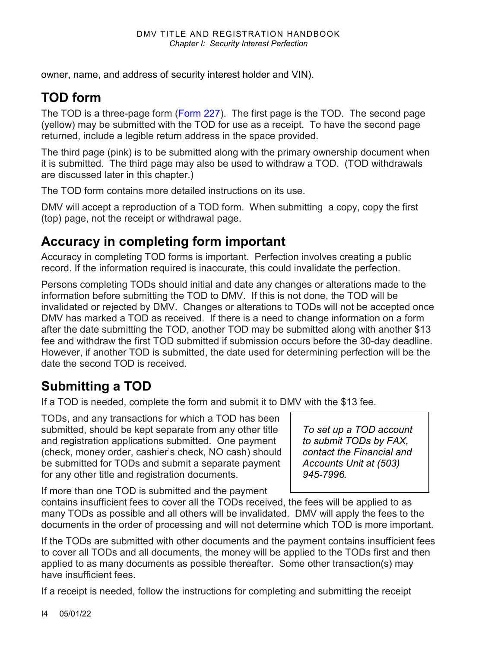owner, name, and address of security interest holder and VIN).

# **TOD form**

The TOD is a three-page form [\(Form 227\)](https://www.odot.state.or.us/forms/dmv/227fill.pdf). The first page is the TOD. The second page (yellow) may be submitted with the TOD for use as a receipt. To have the second page returned, include a legible return address in the space provided.

The third page (pink) is to be submitted along with the primary ownership document when it is submitted. The third page may also be used to withdraw a TOD. (TOD withdrawals are discussed later in this chapter.)

The TOD form contains more detailed instructions on its use.

DMV will accept a reproduction of a TOD form. When submitting a copy, copy the first (top) page, not the receipt or withdrawal page.

### **Accuracy in completing form important**

Accuracy in completing TOD forms is important. Perfection involves creating a public record. If the information required is inaccurate, this could invalidate the perfection.

Persons completing TODs should initial and date any changes or alterations made to the information before submitting the TOD to DMV. If this is not done, the TOD will be invalidated or rejected by DMV. Changes or alterations to TODs will not be accepted once DMV has marked a TOD as received. If there is a need to change information on a form after the date submitting the TOD, another TOD may be submitted along with another \$13 fee and withdraw the first TOD submitted if submission occurs before the 30-day deadline. However, if another TOD is submitted, the date used for determining perfection will be the date the second TOD is received.

# **Submitting a TOD**

If a TOD is needed, complete the form and submit it to DMV with the \$13 fee.

TODs, and any transactions for which a TOD has been submitted, should be kept separate from any other title and registration applications submitted. One payment (check, money order, cashier's check, NO cash) should be submitted for TODs and submit a separate payment for any other title and registration documents.

*To set up a TOD account to submit TODs by FAX, contact the Financial and Accounts Unit at (503) 945-7996.*

If more than one TOD is submitted and the payment

contains insufficient fees to cover all the TODs received, the fees will be applied to as many TODs as possible and all others will be invalidated. DMV will apply the fees to the documents in the order of processing and will not determine which TOD is more important.

If the TODs are submitted with other documents and the payment contains insufficient fees to cover all TODs and all documents, the money will be applied to the TODs first and then applied to as many documents as possible thereafter. Some other transaction(s) may have insufficient fees.

If a receipt is needed, follow the instructions for completing and submitting the receipt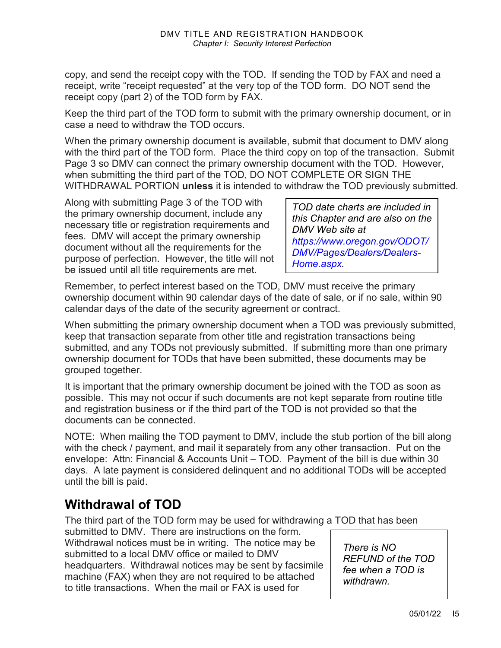copy, and send the receipt copy with the TOD. If sending the TOD by FAX and need a receipt, write "receipt requested" at the very top of the TOD form. DO NOT send the receipt copy (part 2) of the TOD form by FAX.

Keep the third part of the TOD form to submit with the primary ownership document, or in case a need to withdraw the TOD occurs.

When the primary ownership document is available, submit that document to DMV along with the third part of the TOD form. Place the third copy on top of the transaction. Submit Page 3 so DMV can connect the primary ownership document with the TOD. However, when submitting the third part of the TOD, DO NOT COMPLETE OR SIGN THE WITHDRAWAL PORTION **unless** it is intended to withdraw the TOD previously submitted.

Along with submitting Page 3 of the TOD with the primary ownership document, include any necessary title or registration requirements and fees. DMV will accept the primary ownership document without all the requirements for the purpose of perfection. However, the title will not be issued until all title requirements are met.

*TOD date charts are included in this Chapter and are also on the DMV Web site at [https://www.oregon.gov/ODOT/](https://www.oregon.gov/ODOT/DMV/Pages/Dealers/Dealers-Home.aspx) [DMV/Pages/Dealers/Dealers-](https://www.oregon.gov/ODOT/DMV/Pages/Dealers/Dealers-Home.aspx)[Home.aspx.](https://www.oregon.gov/ODOT/DMV/Pages/Dealers/Dealers-Home.aspx)*

Remember, to perfect interest based on the TOD, DMV must receive the primary ownership document within 90 calendar days of the date of sale, or if no sale, within 90 calendar days of the date of the security agreement or contract.

When submitting the primary ownership document when a TOD was previously submitted, keep that transaction separate from other title and registration transactions being submitted, and any TODs not previously submitted. If submitting more than one primary ownership document for TODs that have been submitted, these documents may be grouped together.

It is important that the primary ownership document be joined with the TOD as soon as possible. This may not occur if such documents are not kept separate from routine title and registration business or if the third part of the TOD is not provided so that the documents can be connected.

NOTE: When mailing the TOD payment to DMV, include the stub portion of the bill along with the check / payment, and mail it separately from any other transaction. Put on the envelope: Attn: Financial & Accounts Unit – TOD. Payment of the bill is due within 30 days. A late payment is considered delinquent and no additional TODs will be accepted until the bill is paid.

### **Withdrawal of TOD**

The third part of the TOD form may be used for withdrawing a TOD that has been

submitted to DMV. There are instructions on the form. Withdrawal notices must be in writing. The notice may be submitted to a local DMV office or mailed to DMV headquarters. Withdrawal notices may be sent by facsimile machine (FAX) when they are not required to be attached to title transactions. When the mail or FAX is used for

*There is NO REFUND of the TOD fee when a TOD is withdrawn.*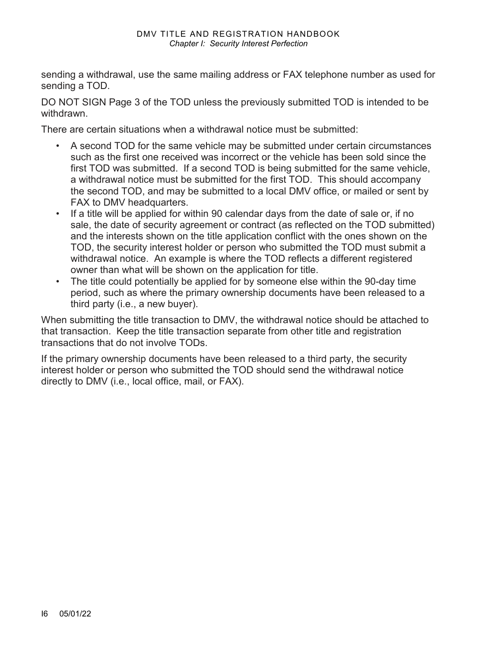sending a withdrawal, use the same mailing address or FAX telephone number as used for sending a TOD.

DO NOT SIGN Page 3 of the TOD unless the previously submitted TOD is intended to be withdrawn.

There are certain situations when a withdrawal notice must be submitted:

- A second TOD for the same vehicle may be submitted under certain circumstances such as the first one received was incorrect or the vehicle has been sold since the first TOD was submitted. If a second TOD is being submitted for the same vehicle, a withdrawal notice must be submitted for the first TOD. This should accompany the second TOD, and may be submitted to a local DMV office, or mailed or sent by FAX to DMV headquarters.
- If a title will be applied for within 90 calendar days from the date of sale or, if no sale, the date of security agreement or contract (as reflected on the TOD submitted) and the interests shown on the title application conflict with the ones shown on the TOD, the security interest holder or person who submitted the TOD must submit a withdrawal notice. An example is where the TOD reflects a different registered owner than what will be shown on the application for title.
- The title could potentially be applied for by someone else within the 90-day time period, such as where the primary ownership documents have been released to a third party (i.e., a new buyer).

When submitting the title transaction to DMV, the withdrawal notice should be attached to that transaction. Keep the title transaction separate from other title and registration transactions that do not involve TODs.

If the primary ownership documents have been released to a third party, the security interest holder or person who submitted the TOD should send the withdrawal notice directly to DMV (i.e., local office, mail, or FAX).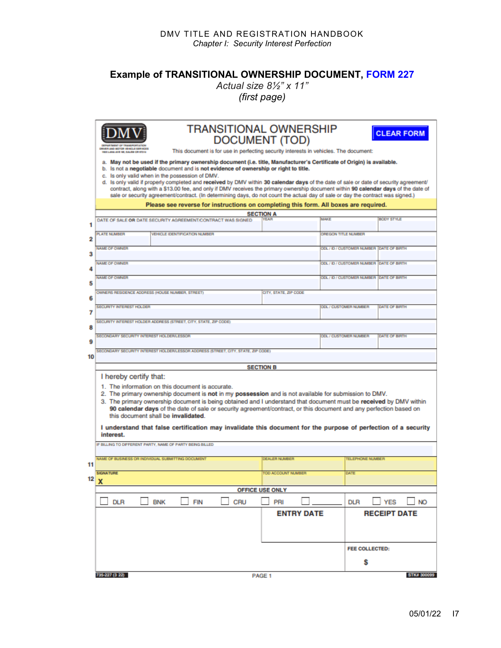#### DMV TITLE AND REGISTRATION HANDBOOK *Chapter I: Security Interest Perfection*

### **Example of TRANSITIONAL OWNERSHIP DOCUMENT, [FORM 227](https://www.odot.state.or.us/forms/dmv/227fill.pdf)**

*Actual size 8½" x 11" (first page)* 

|    | <b>TRANSITIONAL OWNERSHIP</b><br><b>CLEAR FORM</b>                                                                                                                                                                                                                             |                                                                                                                                                                                                                         |                                               |  |  |  |  |  |  |  |  |  |  |  |
|----|--------------------------------------------------------------------------------------------------------------------------------------------------------------------------------------------------------------------------------------------------------------------------------|-------------------------------------------------------------------------------------------------------------------------------------------------------------------------------------------------------------------------|-----------------------------------------------|--|--|--|--|--|--|--|--|--|--|--|
|    | DRIVER AND MOTOR VEHICLE SERVICES                                                                                                                                                                                                                                              | <b>DOCUMENT (TOD)</b>                                                                                                                                                                                                   |                                               |  |  |  |  |  |  |  |  |  |  |  |
|    | <b>605 LANA AVE NE, EALEN OR 67314</b>                                                                                                                                                                                                                                         | This document is for use in perfecting security interests in vehicles. The document:<br>a. May not be used if the primary ownership document (i.e. title, Manufacturer's Certificate of Origin) is available.           |                                               |  |  |  |  |  |  |  |  |  |  |  |
|    | is not a negotiable document and is not evidence of ownership or right to title.<br>b.<br>c. Is only valid when in the possession of DMV.                                                                                                                                      |                                                                                                                                                                                                                         |                                               |  |  |  |  |  |  |  |  |  |  |  |
|    | Is only valid if properly completed and received by DMV within 30 calendar days of the date of sale or date of security agreement/<br>d.<br>contract, along with a \$13.00 fee, and only if DMV receives the primary ownership document within 90 calendar days of the date of |                                                                                                                                                                                                                         |                                               |  |  |  |  |  |  |  |  |  |  |  |
|    |                                                                                                                                                                                                                                                                                | sale or security agreement/contract. (In determining days, do not count the actual day of sale or day the contract was signed.)<br>Please see reverse for instructions on completing this form. All boxes are required. |                                               |  |  |  |  |  |  |  |  |  |  |  |
|    | <b>SECTION A</b>                                                                                                                                                                                                                                                               |                                                                                                                                                                                                                         |                                               |  |  |  |  |  |  |  |  |  |  |  |
| 1  | MAKE<br>BODY STYLE<br><b>YEAR</b><br>DATE OF SALE OR DATE SECURITY AGREEMENT/CONTRACT WAS SIGNED                                                                                                                                                                               |                                                                                                                                                                                                                         |                                               |  |  |  |  |  |  |  |  |  |  |  |
| 2  | <b>PLATE NUMBER</b><br><b>VEHICLE IDENTIFICATION NUMBER</b>                                                                                                                                                                                                                    | OREGON TITLE NUMBER                                                                                                                                                                                                     |                                               |  |  |  |  |  |  |  |  |  |  |  |
| 3  | <b>NAME OF OWNER</b>                                                                                                                                                                                                                                                           |                                                                                                                                                                                                                         | ODL / ID / CUSTOMER NUMBER DATE OF BIRTH      |  |  |  |  |  |  |  |  |  |  |  |
|    | <b>NAME OF OWNER</b>                                                                                                                                                                                                                                                           |                                                                                                                                                                                                                         | ODL / ID / CUSTOMER NUMBER DATE OF BRITH      |  |  |  |  |  |  |  |  |  |  |  |
| 4  | <b>NAME OF OWNER</b><br>ODL / ID / CUSTOMER NUMBER DATE OF BRITH                                                                                                                                                                                                               |                                                                                                                                                                                                                         |                                               |  |  |  |  |  |  |  |  |  |  |  |
| 5  |                                                                                                                                                                                                                                                                                |                                                                                                                                                                                                                         |                                               |  |  |  |  |  |  |  |  |  |  |  |
| 6  | OWNERS RESIDENCE ADDRESS (HOUSE NUMBER, STREET)<br>CITY, STATE, ZIP CODE                                                                                                                                                                                                       |                                                                                                                                                                                                                         |                                               |  |  |  |  |  |  |  |  |  |  |  |
| 7  | <b>SECURITY INTEREST HOLDER</b>                                                                                                                                                                                                                                                |                                                                                                                                                                                                                         | ODL / CUSTOMER NUMBER<br><b>DATE OF BIRTH</b> |  |  |  |  |  |  |  |  |  |  |  |
| 8  | SECURITY INTEREST HOLDER ADDRESS (STREET, CITY, STATE, ZIP CODE).                                                                                                                                                                                                              |                                                                                                                                                                                                                         |                                               |  |  |  |  |  |  |  |  |  |  |  |
| 9  | SECONDARY SECURITY INTEREST HOLDERLESSOR                                                                                                                                                                                                                                       |                                                                                                                                                                                                                         | <b>ODL / CUSTOMER NUMBER</b><br>DATE OF BRITH |  |  |  |  |  |  |  |  |  |  |  |
| 10 | SECONDARY SECURITY INTEREST HOLDERLESSOR ADDRESS (STREET, CITY, STATE, ZIP CODE)                                                                                                                                                                                               |                                                                                                                                                                                                                         |                                               |  |  |  |  |  |  |  |  |  |  |  |
|    |                                                                                                                                                                                                                                                                                | <b>SECTION B</b>                                                                                                                                                                                                        |                                               |  |  |  |  |  |  |  |  |  |  |  |
|    | I hereby certify that:                                                                                                                                                                                                                                                         |                                                                                                                                                                                                                         |                                               |  |  |  |  |  |  |  |  |  |  |  |
|    | 1. The information on this document is accurate.<br>2. The primary ownership document is not in my possession and is not available for submission to DMV.                                                                                                                      |                                                                                                                                                                                                                         |                                               |  |  |  |  |  |  |  |  |  |  |  |
|    | 3. The primary ownership document is being obtained and I understand that document must be received by DMV within<br>90 calendar days of the date of sale or security agreement/contract, or this document and any perfection based on                                         |                                                                                                                                                                                                                         |                                               |  |  |  |  |  |  |  |  |  |  |  |
|    | this document shall be invalidated.                                                                                                                                                                                                                                            |                                                                                                                                                                                                                         |                                               |  |  |  |  |  |  |  |  |  |  |  |
|    | I understand that false certification may invalidate this document for the purpose of perfection of a security<br>interest.                                                                                                                                                    |                                                                                                                                                                                                                         |                                               |  |  |  |  |  |  |  |  |  |  |  |
|    | IF BILLING TO DIFFERENT PARTY, NAME OF PARTY BEING BILLED                                                                                                                                                                                                                      |                                                                                                                                                                                                                         |                                               |  |  |  |  |  |  |  |  |  |  |  |
|    | NAME OF BUSINESS OR INDIVIDUAL SUBMITTING DOCUMENT                                                                                                                                                                                                                             | <b>DEALER NUMBER</b>                                                                                                                                                                                                    | <b>TELEPHONE NUMBER</b>                       |  |  |  |  |  |  |  |  |  |  |  |
| 11 | <b>SIGNATURE</b>                                                                                                                                                                                                                                                               | TOD ACCOUNT NUMBER                                                                                                                                                                                                      | DATE                                          |  |  |  |  |  |  |  |  |  |  |  |
| 12 | $\mathbf v$<br>$\boldsymbol{\mathsf{A}}$                                                                                                                                                                                                                                       |                                                                                                                                                                                                                         |                                               |  |  |  |  |  |  |  |  |  |  |  |
|    |                                                                                                                                                                                                                                                                                | <b>OFFICE USE ONLY</b>                                                                                                                                                                                                  |                                               |  |  |  |  |  |  |  |  |  |  |  |
|    | <b>DLR</b><br>CRU<br><b>BNK</b><br><b>FIN</b>                                                                                                                                                                                                                                  | PRI                                                                                                                                                                                                                     | $\Box$ YES<br><b>DLR</b><br><b>NO</b>         |  |  |  |  |  |  |  |  |  |  |  |
|    |                                                                                                                                                                                                                                                                                | <b>ENTRY DATE</b>                                                                                                                                                                                                       | <b>RECEIPT DATE</b>                           |  |  |  |  |  |  |  |  |  |  |  |
|    |                                                                                                                                                                                                                                                                                |                                                                                                                                                                                                                         |                                               |  |  |  |  |  |  |  |  |  |  |  |
|    |                                                                                                                                                                                                                                                                                |                                                                                                                                                                                                                         | <b>FEE COLLECTED:</b>                         |  |  |  |  |  |  |  |  |  |  |  |
|    |                                                                                                                                                                                                                                                                                |                                                                                                                                                                                                                         | s                                             |  |  |  |  |  |  |  |  |  |  |  |
|    | 735-227 (3 22)<br><b>STK# 300099</b><br>PAGE 1                                                                                                                                                                                                                                 |                                                                                                                                                                                                                         |                                               |  |  |  |  |  |  |  |  |  |  |  |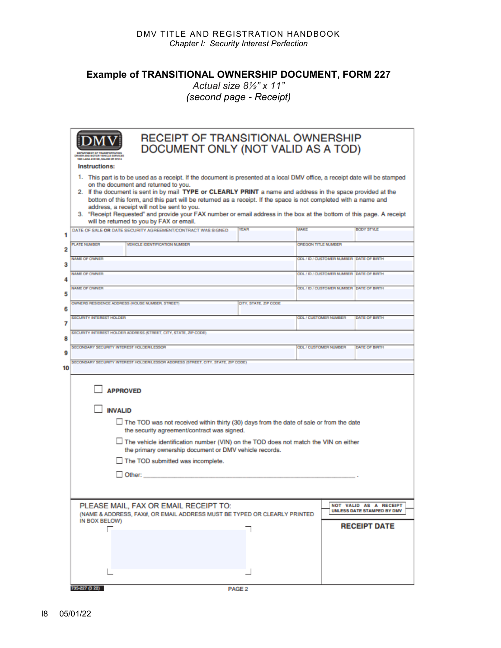**Example of TRANSITIONAL OWNERSHIP DOCUMENT, FORM 227**

*Actual size 8½" x 11" (second page - Receipt)* 

|        | <b>RECEIPT OF TRANSITIONAL OWNERSHIP</b><br>DOCUMENT ONLY (NOT VALID AS A TOD)<br><b>LAVENE, SALEM OR 97314</b>                                                                                                                                                                                                                                                                                                                                                                                                                                                                                                          |                                               |  |  |  |  |  |  |  |  |  |
|--------|--------------------------------------------------------------------------------------------------------------------------------------------------------------------------------------------------------------------------------------------------------------------------------------------------------------------------------------------------------------------------------------------------------------------------------------------------------------------------------------------------------------------------------------------------------------------------------------------------------------------------|-----------------------------------------------|--|--|--|--|--|--|--|--|--|
|        | Instructions:                                                                                                                                                                                                                                                                                                                                                                                                                                                                                                                                                                                                            |                                               |  |  |  |  |  |  |  |  |  |
|        | 1. This part is to be used as a receipt. If the document is presented at a local DMV office, a receipt date will be stamped<br>on the document and returned to you.<br>2. If the document is sent in by mail TYPE or CLEARLY PRINT a name and address in the space provided at the<br>bottom of this form, and this part will be returned as a receipt. If the space is not completed with a name and<br>address, a receipt will not be sent to you.<br>3. "Receipt Requested" and provide your FAX number or email address in the box at the bottom of this page. A receipt<br>will be returned to you by FAX or email. |                                               |  |  |  |  |  |  |  |  |  |
|        | BODY STYLE<br><b>YEAR</b><br><b>MAKE</b><br>DATE OF SALE OR DATE SECURITY AGREEMENT/CONTRACT WAS SIGNED                                                                                                                                                                                                                                                                                                                                                                                                                                                                                                                  |                                               |  |  |  |  |  |  |  |  |  |
| 1<br>2 | <b>PLATE NUMBER</b><br><b>VEHICLE IDENTIFICATION NUMBER</b>                                                                                                                                                                                                                                                                                                                                                                                                                                                                                                                                                              | OREGON TITLE NUMBER                           |  |  |  |  |  |  |  |  |  |
|        | <b>NAME OF OWNER</b>                                                                                                                                                                                                                                                                                                                                                                                                                                                                                                                                                                                                     | ODL / ID / CUSTOMER NUMBER DATE OF BRITH      |  |  |  |  |  |  |  |  |  |
| з      | <b>NAME OF OWNER</b>                                                                                                                                                                                                                                                                                                                                                                                                                                                                                                                                                                                                     | OOL / ID / CUSTOMER NUMBER DATE OF BRITH      |  |  |  |  |  |  |  |  |  |
| 4      | <b>NAME OF OWNER</b>                                                                                                                                                                                                                                                                                                                                                                                                                                                                                                                                                                                                     | ODL / ID / CUSTOMER NUMBER DATE OF BRITH      |  |  |  |  |  |  |  |  |  |
| 5      |                                                                                                                                                                                                                                                                                                                                                                                                                                                                                                                                                                                                                          |                                               |  |  |  |  |  |  |  |  |  |
| 6      | OWNERS RESIDENCE ADDRESS (HOUSE NUMBER, STREET)<br>CITY, STATE, ZIP CODE                                                                                                                                                                                                                                                                                                                                                                                                                                                                                                                                                 |                                               |  |  |  |  |  |  |  |  |  |
| 7      | <b>SECURITY INTEREST HOLDER</b>                                                                                                                                                                                                                                                                                                                                                                                                                                                                                                                                                                                          | <b>ODL / CUSTOMER NUMBER</b><br>DATE OF BIRTH |  |  |  |  |  |  |  |  |  |
| 8      | SECURITY INTEREST HOLDER ADDRESS (STREET, CITY, STATE, ZIP CODE).                                                                                                                                                                                                                                                                                                                                                                                                                                                                                                                                                        |                                               |  |  |  |  |  |  |  |  |  |
| 9      | SECONDARY SECURITY INTEREST HOLDERLESSOR                                                                                                                                                                                                                                                                                                                                                                                                                                                                                                                                                                                 | <b>ODL / CUSTOMER NUMBER</b><br>DATE OF BIRTH |  |  |  |  |  |  |  |  |  |
| 10     | SECONDARY SECURITY INTEREST HOLDERLESSOR ADDRESS (STREET, CITY, STATE, ZIP CODE)                                                                                                                                                                                                                                                                                                                                                                                                                                                                                                                                         |                                               |  |  |  |  |  |  |  |  |  |
|        | <b>APPROVED</b><br><b>INVALID</b><br>$\Box$ The TOD was not received within thirty (30) days from the date of sale or from the date<br>the security agreement/contract was signed.<br>$\Box$ The vehicle identification number (VIN) on the TOD does not match the VIN on either<br>the primary ownership document or DMV vehicle records.<br>The TOD submitted was incomplete.<br>Other:<br>PLEASE MAIL, FAX OR EMAIL RECEIPT TO:<br>NOT VALID AS A RECEIPT<br>UNLESS DATE STAMPED BY DMV<br>(NAME & ADDRESS, FAX#, OR EMAIL ADDRESS MUST BE TYPED OR CLEARLY PRINTED<br>IN BOX BELOW)<br><b>RECEIPT DATE</b>           |                                               |  |  |  |  |  |  |  |  |  |
|        |                                                                                                                                                                                                                                                                                                                                                                                                                                                                                                                                                                                                                          |                                               |  |  |  |  |  |  |  |  |  |
|        | 735-227 (3 22)<br>PAGE <sub>2</sub>                                                                                                                                                                                                                                                                                                                                                                                                                                                                                                                                                                                      |                                               |  |  |  |  |  |  |  |  |  |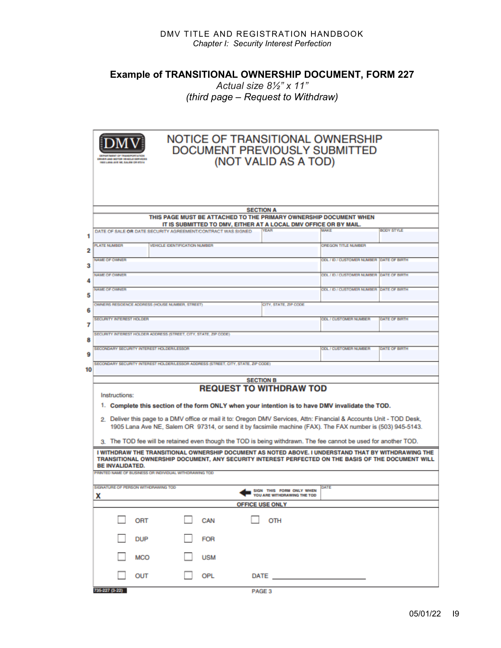**Example of TRANSITIONAL OWNERSHIP DOCUMENT, FORM 227**

*Actual size 8½" x 11" (third page – Request to Withdraw)* 

|    | NOTICE OF TRANSITIONAL OWNERSHIP<br>DOCUMENT PREVIOUSLY SUBMITTED<br>(NOT VALID AS A TOD)<br>IVER AND MOTOR VEHICLE EERVICES<br><b>600 LANS AVE NE. EALEN OR 6T316</b>                                                                                                                                                                                                                                                                                                                                       |                                                           |                                         |                   |  |  |  |  |  |  |  |  |
|----|--------------------------------------------------------------------------------------------------------------------------------------------------------------------------------------------------------------------------------------------------------------------------------------------------------------------------------------------------------------------------------------------------------------------------------------------------------------------------------------------------------------|-----------------------------------------------------------|-----------------------------------------|-------------------|--|--|--|--|--|--|--|--|
|    | <b>SECTION A</b><br>THIS PAGE MUST BE ATTACHED TO THE PRIMARY OWNERSHIP DOCUMENT WHEN<br>IT IS SUBMITTED TO DMV, EITHER AT A LOCAL DMV OFFICE OR BY MAIL.                                                                                                                                                                                                                                                                                                                                                    |                                                           |                                         |                   |  |  |  |  |  |  |  |  |
| 1  | DATE OF SALE OR DATE SECURITY AGREEMENT/CONTRACT WAS SIGNED.                                                                                                                                                                                                                                                                                                                                                                                                                                                 | <b>YEAR</b>                                               | <b>MAKE</b>                             | <b>BODY STYLE</b> |  |  |  |  |  |  |  |  |
|    | <b>PLATE NUMBER</b><br><b>VEHICLE IDENTIFICATION NUMBER</b>                                                                                                                                                                                                                                                                                                                                                                                                                                                  |                                                           | OREGON TITLE NUMBER                     |                   |  |  |  |  |  |  |  |  |
| 2  | <b>NAME OF OWNER</b>                                                                                                                                                                                                                                                                                                                                                                                                                                                                                         |                                                           | ODL / ID / CUSTOMER NUMBER DATE OF BRTH |                   |  |  |  |  |  |  |  |  |
| з  |                                                                                                                                                                                                                                                                                                                                                                                                                                                                                                              |                                                           |                                         |                   |  |  |  |  |  |  |  |  |
| 4  | <b>NAME OF OWNER</b>                                                                                                                                                                                                                                                                                                                                                                                                                                                                                         |                                                           | ODL / ID / CUSTOMER NUMBER DATE OF BRTH |                   |  |  |  |  |  |  |  |  |
|    | <b>NAME OF OWNER</b><br>ODL / ID / CUSTOMER NUMBER DATE OF BRITH                                                                                                                                                                                                                                                                                                                                                                                                                                             |                                                           |                                         |                   |  |  |  |  |  |  |  |  |
| 5  | OWNERS RESIDENCE ADDRESS (HOUSE NUMBER, STREET)                                                                                                                                                                                                                                                                                                                                                                                                                                                              | CITY, STATE, ZIP CODE                                     |                                         |                   |  |  |  |  |  |  |  |  |
| 6  |                                                                                                                                                                                                                                                                                                                                                                                                                                                                                                              |                                                           |                                         |                   |  |  |  |  |  |  |  |  |
| 7  | <b>SECURITY INTEREST HOLDER</b>                                                                                                                                                                                                                                                                                                                                                                                                                                                                              |                                                           | <b>ODL / CUSTOMER NUMBER</b>            | DATE OF BIRTH     |  |  |  |  |  |  |  |  |
|    | SECURITY INTEREST HOLDER ADDRESS (STREET, CITY, STATE, ZIP CODE)                                                                                                                                                                                                                                                                                                                                                                                                                                             |                                                           |                                         |                   |  |  |  |  |  |  |  |  |
| 8  | SECONDARY SECURITY INTEREST HOLDERLESSOR                                                                                                                                                                                                                                                                                                                                                                                                                                                                     |                                                           | <b>ODL / CUSTOMER NUMBER</b>            | DATE OF BRITH     |  |  |  |  |  |  |  |  |
| 9  |                                                                                                                                                                                                                                                                                                                                                                                                                                                                                                              |                                                           |                                         |                   |  |  |  |  |  |  |  |  |
| 10 | SECONDARY SECURITY INTEREST HOLDERLESSOR ADDRESS (STREET, CITY, STATE, ZIP CODE)                                                                                                                                                                                                                                                                                                                                                                                                                             |                                                           |                                         |                   |  |  |  |  |  |  |  |  |
|    |                                                                                                                                                                                                                                                                                                                                                                                                                                                                                                              | <b>SECTION B</b>                                          |                                         |                   |  |  |  |  |  |  |  |  |
|    | <b>REQUEST TO WITHDRAW TOD</b><br>Instructions:<br>1. Complete this section of the form ONLY when your intention is to have DMV invalidate the TOD.<br>2. Deliver this page to a DMV office or mail it to: Oregon DMV Services, Attn: Financial & Accounts Unit - TOD Desk,<br>1905 Lana Ave NE, Salem OR 97314, or send it by facsimile machine (FAX). The FAX number is (503) 945-5143.<br>3. The TOD fee will be retained even though the TOD is being withdrawn. The fee cannot be used for another TOD. |                                                           |                                         |                   |  |  |  |  |  |  |  |  |
|    | I WITHDRAW THE TRANSITIONAL OWNERSHIP DOCUMENT AS NOTED ABOVE. I UNDERSTAND THAT BY WITHDRAWING THE<br>TRANSITIONAL OWNERSHIP DOCUMENT, ANY SECURITY INTEREST PERFECTED ON THE BASIS OF THE DOCUMENT WILL<br><b>BE INVALIDATED.</b>                                                                                                                                                                                                                                                                          |                                                           |                                         |                   |  |  |  |  |  |  |  |  |
|    | PRINTED NAME OF BUSINESS OR INDIVIDUAL WITHDRAWING TOD                                                                                                                                                                                                                                                                                                                                                                                                                                                       |                                                           |                                         |                   |  |  |  |  |  |  |  |  |
|    | SIGNATURE OF PERSON WITHDRAWING TOD<br>х                                                                                                                                                                                                                                                                                                                                                                                                                                                                     | - SIGN THIS FOOM ONLY WHEN<br>YOU ARE WITHDRAWING THE TOD | DATE                                    |                   |  |  |  |  |  |  |  |  |
|    |                                                                                                                                                                                                                                                                                                                                                                                                                                                                                                              | <b>OFFICE USE ONLY</b>                                    |                                         |                   |  |  |  |  |  |  |  |  |
|    | CAN<br>ORT                                                                                                                                                                                                                                                                                                                                                                                                                                                                                                   | OTH                                                       |                                         |                   |  |  |  |  |  |  |  |  |
|    | <b>DUP</b><br><b>FOR</b>                                                                                                                                                                                                                                                                                                                                                                                                                                                                                     |                                                           |                                         |                   |  |  |  |  |  |  |  |  |
|    | <b>USM</b><br>MCO                                                                                                                                                                                                                                                                                                                                                                                                                                                                                            |                                                           |                                         |                   |  |  |  |  |  |  |  |  |
|    | OUT<br>OPL                                                                                                                                                                                                                                                                                                                                                                                                                                                                                                   | DATE $\_\_$                                               |                                         |                   |  |  |  |  |  |  |  |  |
|    | 735-227 (3-22)<br>PAGE <sub>3</sub>                                                                                                                                                                                                                                                                                                                                                                                                                                                                          |                                                           |                                         |                   |  |  |  |  |  |  |  |  |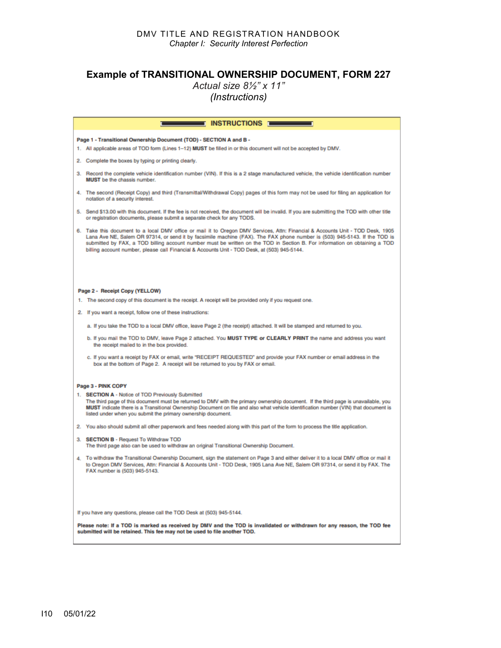#### **Example of TRANSITIONAL OWNERSHIP DOCUMENT, FORM 227**

*Actual size 8½" x 11"*

*(Instructions)* 

| $\blacksquare$ INSTRUCTIONS $\blacksquare$                                                                                                                                                                                                                                                                                                                                                                                                                                                 |
|--------------------------------------------------------------------------------------------------------------------------------------------------------------------------------------------------------------------------------------------------------------------------------------------------------------------------------------------------------------------------------------------------------------------------------------------------------------------------------------------|
| Page 1 - Transitional Ownership Document (TOD) - SECTION A and B -                                                                                                                                                                                                                                                                                                                                                                                                                         |
| 1. All applicable areas of TOD form (Lines 1-12) MUST be filled in or this document will not be accepted by DMV.                                                                                                                                                                                                                                                                                                                                                                           |
| 2. Complete the boxes by typing or printing clearly.                                                                                                                                                                                                                                                                                                                                                                                                                                       |
| 3. Record the complete vehicle identification number (VIN). If this is a 2 stage manufactured vehicle, the vehicle identification number<br>MUST be the chassis number.                                                                                                                                                                                                                                                                                                                    |
| 4. The second (Receipt Copy) and third (Transmittal/Withdrawal Copy) pages of this form may not be used for filing an application for<br>notation of a security interest.                                                                                                                                                                                                                                                                                                                  |
| 5. Send \$13.00 with this document. If the fee is not received, the document will be invalid. If you are submitting the TOD with other title<br>or registration documents, please submit a separate check for any TODS.                                                                                                                                                                                                                                                                    |
| 6. Take this document to a local DMV office or mail it to Oregon DMV Services, Attn: Financial & Accounts Unit - TOD Desk, 1905<br>Lana Ave NE, Salem OR 97314, or send it by facsimile machine (FAX). The FAX phone number is (503) 945-5143. If the TOD is<br>submitted by FAX, a TOD billing account number must be written on the TOD in Section B. For information on obtaining a TOD<br>billing account number, please call Financial & Accounts Unit - TOD Desk, at (503) 945-5144. |
|                                                                                                                                                                                                                                                                                                                                                                                                                                                                                            |
| Page 2 - Receipt Copy (YELLOW)                                                                                                                                                                                                                                                                                                                                                                                                                                                             |
| 1. The second copy of this document is the receipt. A receipt will be provided only if you request one.                                                                                                                                                                                                                                                                                                                                                                                    |
| 2. If you want a receipt, follow one of these instructions:                                                                                                                                                                                                                                                                                                                                                                                                                                |
| a. If you take the TOD to a local DMV office, leave Page 2 (the receipt) attached. It will be stamped and returned to you.                                                                                                                                                                                                                                                                                                                                                                 |
| b. If you mail the TOD to DMV, leave Page 2 attached. You MUST TYPE or CLEARLY PRINT the name and address you want<br>the receipt mailed to in the box provided.                                                                                                                                                                                                                                                                                                                           |
| c. If you want a receipt by FAX or email, write "RECEIPT REQUESTED" and provide your FAX number or email address in the<br>box at the bottom of Page 2. A receipt will be returned to you by FAX or email.                                                                                                                                                                                                                                                                                 |
| Page 3 - PINK COPY                                                                                                                                                                                                                                                                                                                                                                                                                                                                         |
| 1. SECTION A - Notice of TOD Previously Submitted<br>The third page of this document must be returned to DMV with the primary ownership document. If the third page is unavailable, you<br>MUST indicate there is a Transitional Ownership Document on file and also what vehicle identification number (VIN) that document is<br>listed under when you submit the primary ownership document.                                                                                             |
| 2. You also should submit all other paperwork and fees needed along with this part of the form to process the title application.                                                                                                                                                                                                                                                                                                                                                           |
| 3. SECTION B - Request To Withdraw TOD<br>The third page also can be used to withdraw an original Transitional Ownership Document.                                                                                                                                                                                                                                                                                                                                                         |
| 4. To withdraw the Transitional Ownership Document, sign the statement on Page 3 and either deliver it to a local DMV office or mail it<br>to Oregon DMV Services, Attn: Financial & Accounts Unit - TOD Desk, 1905 Lana Ave NE, Salem OR 97314, or send it by FAX. The<br>FAX number is (503) 945-5143.                                                                                                                                                                                   |
|                                                                                                                                                                                                                                                                                                                                                                                                                                                                                            |
| If you have any questions, please call the TOD Desk at (503) 945-5144.                                                                                                                                                                                                                                                                                                                                                                                                                     |
| Please note: If a TOD is marked as received by DMV and the TOD is invalidated or withdrawn for any reason, the TOD fee<br>submitted will be retained. This fee may not be used to file another TOD.                                                                                                                                                                                                                                                                                        |
|                                                                                                                                                                                                                                                                                                                                                                                                                                                                                            |
|                                                                                                                                                                                                                                                                                                                                                                                                                                                                                            |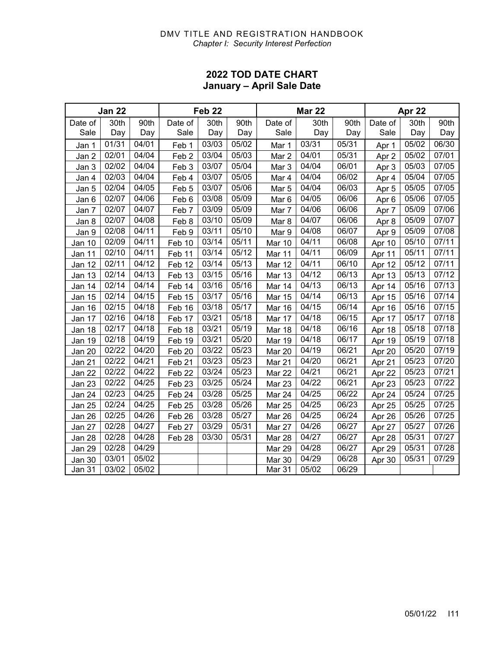#### DMV TITLE AND REGISTRATION HANDBOOK *Chapter I: Security Interest Perfection*

#### **2022 TOD DATE CHART January – April Sale Date**

| <b>Jan 22</b> |       |                    |                   | Feb <sub>22</sub> |       | <b>Mar 22</b>    |       |                    | <b>Apr 22</b> |       |       |
|---------------|-------|--------------------|-------------------|-------------------|-------|------------------|-------|--------------------|---------------|-------|-------|
| Date of       | 30th  | 90th               | Date of           | 30th              | 90th  | Date of          | 30th  | 90th               | Date of       | 30th  | 90th  |
| Sale          | Day   | Day                | Sale              | Day               | Day   | Sale             | Day   | Day                | Sale          | Day   | Day   |
| Jan 1         | 01/31 | 04/01              | Feb 1             | 03/03             | 05/02 | Mar 1            | 03/31 | 05/31              | Apr 1         | 05/02 | 06/30 |
| Jan 2         | 02/01 | 04/04              | Feb <sub>2</sub>  | 03/04             | 05/03 | Mar 2            | 04/01 | 05/31              | Apr 2         | 05/02 | 07/01 |
| Jan 3         | 02/02 | 04/04              | Feb 3             | 03/07             | 05/04 | Mar 3            | 04/04 | 06/01              | Apr 3         | 05/03 | 07/05 |
| Jan 4         | 02/03 | 04/04              | Feb 4             | 03/07             | 05/05 | Mar 4            | 04/04 | 06/02              | Apr 4         | 05/04 | 07/05 |
| Jan 5         | 02/04 | 04/05              | Feb <sub>5</sub>  | 03/07             | 05/06 | Mar 5            | 04/04 | 06/03              | Apr 5         | 05/05 | 07/05 |
| Jan 6         | 02/07 | 04/06              | Feb 6             | 03/08             | 05/09 | Mar <sub>6</sub> | 04/05 | 06/06              | Apr 6         | 05/06 | 07/05 |
| Jan 7         | 02/07 | 04/07              | Feb 7             | 03/09             | 05/09 | Mar 7            | 04/06 | 06/06              | Apr 7         | 05/09 | 07/06 |
| Jan 8         | 02/07 | 04/08              | Feb 8             | 03/10             | 05/09 | Mar 8            | 04/07 | 06/06              | Apr 8         | 05/09 | 07/07 |
| Jan 9         | 02/08 | 04/11              | Feb 9             | 03/11             | 05/10 | Mar 9            | 04/08 | 06/07              | Apr 9         | 05/09 | 07/08 |
| Jan 10        | 02/09 | 04/11              | Feb 10            | 03/14             | 05/11 | Mar 10           | 04/11 | 06/08              | Apr 10        | 05/10 | 07/11 |
| Jan 11        | 02/10 | 04/11              | Feb 11            | 03/14             | 05/12 | Mar 11           | 04/11 | 06/09              | Apr 11        | 05/11 | 07/11 |
| Jan 12        | 02/11 | 04/12              | Feb 12            | 03/14             | 05/13 | Mar 12           | 04/11 | 06/10              | Apr 12        | 05/12 | 07/11 |
| Jan 13        | 02/14 | 04/13              | Feb 13            | 03/15             | 05/16 | <b>Mar 13</b>    | 04/12 | 06/13              | Apr 13        | 05/13 | 07/12 |
| Jan 14        | 02/14 | 04/14              | Feb 14            | 03/16             | 05/16 | Mar 14           | 04/13 | 06/13              | Apr 14        | 05/16 | 07/13 |
| Jan 15        | 02/14 | 04/15              | Feb 15            | 03/17             | 05/16 | <b>Mar 15</b>    | 04/14 | 06/13              | Apr 15        | 05/16 | 07/14 |
| Jan 16        | 02/15 | 04/18              | Feb 16            | 03/18             | 05/17 | Mar 16           | 04/15 | 06/14              | Apr 16        | 05/16 | 07/15 |
| Jan 17        | 02/16 | 04/18              | Feb 17            | 03/21             | 05/18 | Mar 17           | 04/18 | 06/15              | Apr 17        | 05/17 | 07/18 |
| Jan 18        | 02/17 | 04/18              | Feb 18            | 03/21             | 05/19 | Mar 18           | 04/18 | 06/16              | Apr 18        | 05/18 | 07/18 |
| Jan 19        | 02/18 | 04/19              | Feb 19            | 03/21             | 05/20 | <b>Mar 19</b>    | 04/18 | $\overline{06}/17$ | Apr 19        | 05/19 | 07/18 |
| Jan 20        | 02/22 | 04/20              | Feb 20            | 03/22             | 05/23 | Mar 20           | 04/19 | 06/21              | Apr 20        | 05/20 | 07/19 |
| Jan 21        | 02/22 | 04/21              | Feb <sub>21</sub> | 03/23             | 05/23 | Mar 21           | 04/20 | 06/21              | Apr 21        | 05/23 | 07/20 |
| Jan 22        | 02/22 | 04/22              | Feb <sub>22</sub> | 03/24             | 05/23 | Mar 22           | 04/21 | 06/21              | Apr 22        | 05/23 | 07/21 |
| Jan 23        | 02/22 | 04/25              | Feb <sub>23</sub> | 03/25             | 05/24 | Mar 23           | 04/22 | 06/21              | Apr 23        | 05/23 | 07/22 |
| Jan 24        | 02/23 | 04/25              | Feb 24            | 03/28             | 05/25 | Mar 24           | 04/25 | 06/22              | Apr 24        | 05/24 | 07/25 |
| Jan 25        | 02/24 | 04/25              | Feb <sub>25</sub> | 03/28             | 05/26 | <b>Mar 25</b>    | 04/25 | 06/23              | Apr 25        | 05/25 | 07/25 |
| Jan 26        | 02/25 | 04/26              | Feb 26            | 03/28             | 05/27 | Mar 26           | 04/25 | 06/24              | Apr 26        | 05/26 | 07/25 |
| Jan 27        | 02/28 | 04/27              | Feb 27            | 03/29             | 05/31 | Mar 27           | 04/26 | 06/27              | Apr 27        | 05/27 | 07/26 |
| Jan 28        | 02/28 | 04/28              | Feb 28            | 03/30             | 05/31 | Mar 28           | 04/27 | 06/27              | Apr 28        | 05/31 | 07/27 |
| Jan 29        | 02/28 | 04/29              |                   |                   |       | Mar 29           | 04/28 | 06/27              | Apr 29        | 05/31 | 07/28 |
| Jan 30        | 03/01 | 05/02              |                   |                   |       | Mar 30           | 04/29 | 06/28              | Apr 30        | 05/31 | 07/29 |
| Jan 31        | 03/02 | $\overline{0}5/02$ |                   |                   |       | Mar 31           | 05/02 | 06/29              |               |       |       |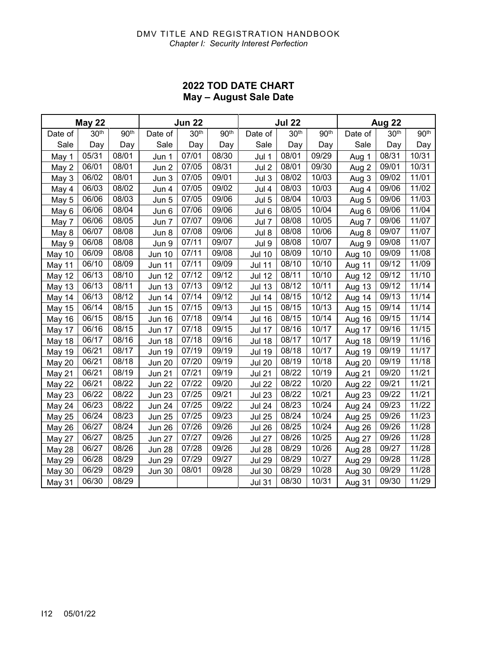#### **2022 TOD DATE CHART May – August Sale Date**

| <b>May 22</b> |                  |                  |               | <b>Jun 22</b>    |                  |               | <b>Jul 22</b>    | Aug 22           |         |                  |                  |
|---------------|------------------|------------------|---------------|------------------|------------------|---------------|------------------|------------------|---------|------------------|------------------|
| Date of       | 30 <sup>th</sup> | 90 <sup>th</sup> | Date of       | 30 <sup>th</sup> | 90 <sup>th</sup> | Date of       | 30 <sup>th</sup> | 90 <sup>th</sup> | Date of | 30 <sup>th</sup> | 90 <sup>th</sup> |
| Sale          | Day              | Day              | Sale          | Day              | Day              | Sale          | Day              | Day              | Sale    | Day              | Day              |
| May 1         | 05/31            | 08/01            | Jun 1         | 07/01            | 08/30            | Jul 1         | 08/01            | 09/29            | Aug 1   | 08/31            | 10/31            |
| May 2         | 06/01            | 08/01            | Jun 2         | 07/05            | 08/31            | Jul 2         | 08/01            | 09/30            | Aug 2   | 09/01            | 10/31            |
| May 3         | 06/02            | 08/01            | Jun 3         | 07/05            | 09/01            | Jul 3         | 08/02            | 10/03            | Aug 3   | 09/02            | 11/01            |
| May 4         | 06/03            | 08/02            | Jun 4         | 07/05            | 09/02            | Jul 4         | 08/03            | 10/03            | Aug 4   | 09/06            | 11/02            |
| May 5         | 06/06            | 08/03            | Jun 5         | 07/05            | 09/06            | Jul 5         | 08/04            | 10/03            | Aug 5   | 09/06            | 11/03            |
| May 6         | 06/06            | 08/04            | Jun 6         | 07/06            | 09/06            | Jul 6         | 08/05            | 10/04            | Aug 6   | 09/06            | 11/04            |
| May 7         | 06/06            | 08/05            | Jun 7         | 07/07            | 09/06            | Jul 7         | 08/08            | 10/05            | Aug 7   | 09/06            | 11/07            |
| May 8         | 06/07            | 08/08            | Jun 8         | 07/08            | 09/06            | Jul 8         | 08/08            | 10/06            | Aug 8   | 09/07            | 11/07            |
| May 9         | 06/08            | 08/08            | Jun 9         | 07/11            | 09/07            | Jul 9         | 08/08            | 10/07            | Aug 9   | 09/08            | 11/07            |
| May 10        | 06/09            | 08/08            | Jun 10        | 07/11            | 09/08            | <b>Jul 10</b> | 08/09            | 10/10            | Aug 10  | 09/09            | 11/08            |
| May 11        | 06/10            | 08/09            | Jun 11        | 07/11            | 09/09            | <b>Jul 11</b> | 08/10            | 10/10            | Aug 11  | 09/12            | 11/09            |
| <b>May 12</b> | 06/13            | 08/10            | <b>Jun 12</b> | 07/12            | 09/12            | <b>Jul 12</b> | 08/11            | 10/10            | Aug 12  | 09/12            | 11/10            |
| May 13        | 06/13            | 08/11            | <b>Jun 13</b> | 07/13            | 09/12            | <b>Jul 13</b> | 08/12            | 10/11            | Aug 13  | 09/12            | 11/14            |
| May 14        | 06/13            | 08/12            | <b>Jun 14</b> | 07/14            | 09/12            | <b>Jul 14</b> | 08/15            | 10/12            | Aug 14  | 09/13            | 11/14            |
| <b>May 15</b> | 06/14            | 08/15            | <b>Jun 15</b> | 07/15            | 09/13            | <b>Jul 15</b> | 08/15            | 10/13            | Aug 15  | 09/14            | 11/14            |
| May 16        | 06/15            | 08/15            | Jun 16        | 07/18            | 09/14            | <b>Jul 16</b> | 08/15            | 10/14            | Aug 16  | 09/15            | 11/14            |
| May 17        | 06/16            | 08/15            | Jun 17        | 07/18            | 09/15            | <b>Jul 17</b> | 08/16            | 10/17            | Aug 17  | 09/16            | 11/15            |
| May 18        | 06/17            | 08/16            | <b>Jun 18</b> | 07/18            | 09/16            | <b>Jul 18</b> | 08/17            | 10/17            | Aug 18  | 09/19            | 11/16            |
| <b>May 19</b> | 06/21            | 08/17            | <b>Jun 19</b> | 07/19            | 09/19            | <b>Jul 19</b> | 08/18            | 10/17            | Aug 19  | 09/19            | 11/17            |
| <b>May 20</b> | 06/21            | 08/18            | Jun 20        | 07/20            | 09/19            | <b>Jul 20</b> | 08/19            | 10/18            | Aug 20  | 09/19            | 11/18            |
| May 21        | 06/21            | 08/19            | <b>Jun 21</b> | 07/21            | 09/19            | <b>Jul 21</b> | 08/22            | 10/19            | Aug 21  | 09/20            | 11/21            |
| May 22        | 06/21            | 08/22            | Jun 22        | 07/22            | 09/20            | <b>Jul 22</b> | 08/22            | 10/20            | Aug 22  | 09/21            | 11/21            |
| May 23        | 06/22            | 08/22            | <b>Jun 23</b> | 07/25            | 09/21            | <b>Jul 23</b> | 08/22            | 10/21            | Aug 23  | 09/22            | 11/21            |
| <b>May 24</b> | 06/23            | 08/22            | Jun 24        | 07/25            | 09/22            | <b>Jul 24</b> | 08/23            | 10/24            | Aug 24  | 09/23            | 11/22            |
| <b>May 25</b> | 06/24            | 08/23            | Jun 25        | 07/25            | 09/23            | <b>Jul 25</b> | 08/24            | 10/24            | Aug 25  | 09/26            | 11/23            |
| <b>May 26</b> | 06/27            | 08/24            | Jun 26        | 07/26            | 09/26            | <b>Jul 26</b> | 08/25            | 10/24            | Aug 26  | 09/26            | 11/28            |
| <b>May 27</b> | 06/27            | 08/25            | Jun 27        | 07/27            | 09/26            | <b>Jul 27</b> | 08/26            | 10/25            | Aug 27  | 09/26            | 11/28            |
| May 28        | 06/27            | 08/26            | Jun 28        | 07/28            | 09/26            | <b>Jul 28</b> | 08/29            | 10/26            | Aug 28  | 09/27            | 11/28            |
| <b>May 29</b> | 06/28            | 08/29            | <b>Jun 29</b> | 07/29            | 09/27            | <b>Jul 29</b> | 08/29            | 10/27            | Aug 29  | 09/28            | 11/28            |
| <b>May 30</b> | 06/29            | 08/29            | Jun 30        | 08/01            | 09/28            | <b>Jul 30</b> | 08/29            | 10/28            | Aug 30  | 09/29            | 11/28            |
| May 31        | 06/30            | 08/29            |               |                  |                  | <b>Jul 31</b> | 08/30            | 10/31            | Aug 31  | 09/30            | 11/29            |